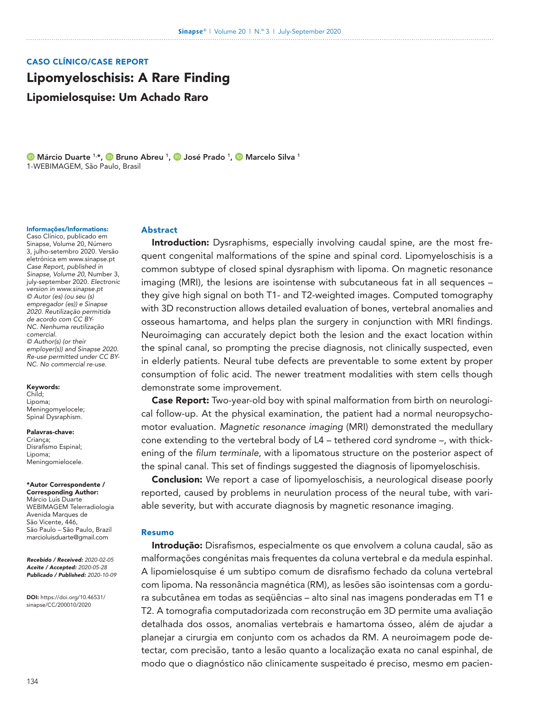# CASO CLÍNICO/CASE REPORT

# Lipomyeloschisis: A Rare Finding

Lipomielosquise: Um Achado Raro

**D** [Márcio](https://orcid.org/0000-0002-7874-9332) Duarte <sup>1,\*</sup>, **D** [Bruno](https://orcid.org/0000-0003-4882-8299) [Abreu](https://orcid.org/0000-0003-4882-8299) <sup>1</sup>, D [José Prado](https://orcid.org/0000-0003-4852-9395) <sup>1</sup>, D [Marcelo](https://orcid.org/0000-0001-8598-3250) [Silva](https://orcid.org/0000-0001-8598-3250) <sup>1</sup> 1-WEBIMAGEM, São Paulo, Brasil

#### Informações/Informations:

Caso Clínico, publicado em Sinapse, Volume 20, Número 3, julho-setembro 2020. Versão eletrónica em www.sinapse.pt *Case Report, published in Sinapse, Volume 20,* Number 3, july-september 2020*. Electronic version in www.sinapse.pt © Autor (es) (ou seu (s) empregador (es)) e Sinapse 2020. Reutilização permitida de acordo com CC BY-NC. Nenhuma reutilização*  c*omercial. © Author(s) (or their employer(s)) and Sinapse 2020. Re-use permitted under CC BY-NC. No commercial re-use.*

Keywords: Child;

Lipoma; Meningomyelocele; Spinal Dysraphism.

#### Palavras-chave:

Criança; Disrafismo Espinal; Lipoma; Meningomielocele.

#### \*Autor Correspondente / Corresponding Author:

Márcio Luís Duarte WEBIMAGEM Telerradiologia Avenida Marques de São Vicente, 446, São Paulo – São Paulo, Brazil marcioluisduarte@gmail.com

*Recebido / Received: 2020-02-05 Aceite / Accepted: 2020-05-28 Publicado / Published: 2020-10-09*

DOI: https://doi.org/[10.46531/](https://doi.org/10.46531/sinapse/CC/200010/2020) [sinapse/CC/200010/2020](https://doi.org/10.46531/sinapse/CC/200010/2020)

## Abstract

**Introduction:** Dysraphisms, especially involving caudal spine, are the most frequent congenital malformations of the spine and spinal cord. Lipomyeloschisis is a common subtype of closed spinal dysraphism with lipoma. On magnetic resonance imaging (MRI), the lesions are isointense with subcutaneous fat in all sequences – they give high signal on both T1- and T2-weighted images. Computed tomography with 3D reconstruction allows detailed evaluation of bones, vertebral anomalies and osseous hamartoma, and helps plan the surgery in conjunction with MRI findings. Neuroimaging can accurately depict both the lesion and the exact location within the spinal canal, so prompting the precise diagnosis, not clinically suspected, even in elderly patients. Neural tube defects are preventable to some extent by proper consumption of folic acid. The newer treatment modalities with stem cells though demonstrate some improvement.

Case Report: Two-year-old boy with spinal malformation from birth on neurological follow-up. At the physical examination, the patient had a normal neuropsychomotor evaluation. *Magnetic resonance imaging* (MRI) demonstrated the medullary cone extending to the vertebral body of L4 – tethered cord syndrome –, with thickening of the *filum terminale*, with a lipomatous structure on the posterior aspect of the spinal canal. This set of findings suggested the diagnosis of lipomyeloschisis.

**Conclusion:** We report a case of lipomyeloschisis, a neurological disease poorly reported, caused by problems in neurulation process of the neural tube, with variable severity, but with accurate diagnosis by magnetic resonance imaging.

# Resumo

Introdução: Disrafismos, especialmente os que envolvem a coluna caudal, são as malformações congénitas mais frequentes da coluna vertebral e da medula espinhal. A lipomielosquise é um subtipo comum de disrafismo fechado da coluna vertebral com lipoma. Na ressonância magnética (RM), as lesões são isointensas com a gordura subcutânea em todas as seqüências – alto sinal nas imagens ponderadas em T1 e T2. A tomografia computadorizada com reconstrução em 3D permite uma avaliação detalhada dos ossos, anomalias vertebrais e hamartoma ósseo, além de ajudar a planejar a cirurgia em conjunto com os achados da RM. A neuroimagem pode detectar, com precisão, tanto a lesão quanto a localização exata no canal espinhal, de modo que o diagnóstico não clinicamente suspeitado é preciso, mesmo em pacien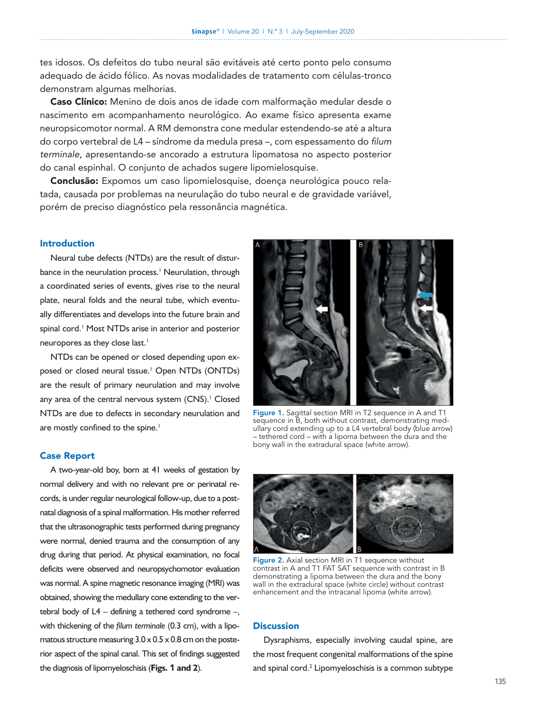tes idosos. Os defeitos do tubo neural são evitáveis até certo ponto pelo consumo adequado de ácido fólico. As novas modalidades de tratamento com células-tronco demonstram algumas melhorias.

Caso Clínico: Menino de dois anos de idade com malformação medular desde o nascimento em acompanhamento neurológico. Ao exame físico apresenta exame neuropsicomotor normal. A RM demonstra cone medular estendendo-se até a altura do corpo vertebral de L4 – síndrome da medula presa –, com espessamento do *filum terminale*, apresentando-se ancorado a estrutura lipomatosa no aspecto posterior do canal espinhal. O conjunto de achados sugere lipomielosquise.

Conclusão: Expomos um caso lipomielosquise, doença neurológica pouco relatada, causada por problemas na neurulação do tubo neural e de gravidade variável, porém de preciso diagnóstico pela ressonância magnética.

# Introduction

Neural tube defects (NTDs) are the result of disturbance in the neurulation process.<sup>1</sup> Neurulation, through a coordinated series of events, gives rise to the neural plate, neural folds and the neural tube, which eventually differentiates and develops into the future brain and spinal cord.<sup>1</sup> Most NTDs arise in anterior and posterior neuropores as they close last.<sup>1</sup>

NTDs can be opened or closed depending upon exposed or closed neural tissue.<sup>1</sup> Open NTDs (ONTDs) are the result of primary neurulation and may involve any area of the central nervous system (CNS).<sup>1</sup> Closed NTDs are due to defects in secondary neurulation and are mostly confined to the spine.<sup>1</sup>

## Case Report

A two-year-old boy, born at 41 weeks of gestation by normal delivery and with no relevant pre or perinatal records, is under regular neurological follow-up, due to a postnatal diagnosis of a spinal malformation. His mother referred that the ultrasonographic tests performed during pregnancy were normal, denied trauma and the consumption of any drug during that period. At physical examination, no focal deficits were observed and neuropsychomotor evaluation was normal. A spine magnetic resonance imaging (MRI) was obtained, showing the medullary cone extending to the vertebral body of L4 – defining a tethered cord syndrome –, with thickening of the *filum terminale* (0.3 cm), with a lipomatous structure measuring  $3.0 \times 0.5 \times 0.8$  cm on the posterior aspect of the spinal canal. This set of findings suggested the diagnosis of lipomyeloschisis (**Figs.** 1 **and 2**).



Figure 1. Sagittal section MRI in T2 sequence in A and T1 sequence in B, both without contrast, demonstrating medullary cord extending up to a L4 vertebral body (blue arrow) – tethered cord – with a lipoma between the dura and the bony wall in the extradural space (white arrow).



Figure 2. Axial section MRI in T1 sequence without contrast in A and T1 FAT SAT sequence with contrast in B demonstrating a lipoma between the dura and the bony wall in the extradural space (white circle) without contrast enhancement and the intracanal lipoma (white arrow).

# **Discussion**

Dysraphisms, especially involving caudal spine, are the most frequent congenital malformations of the spine and spinal cord. $2$  Lipomyeloschisis is a common subtype